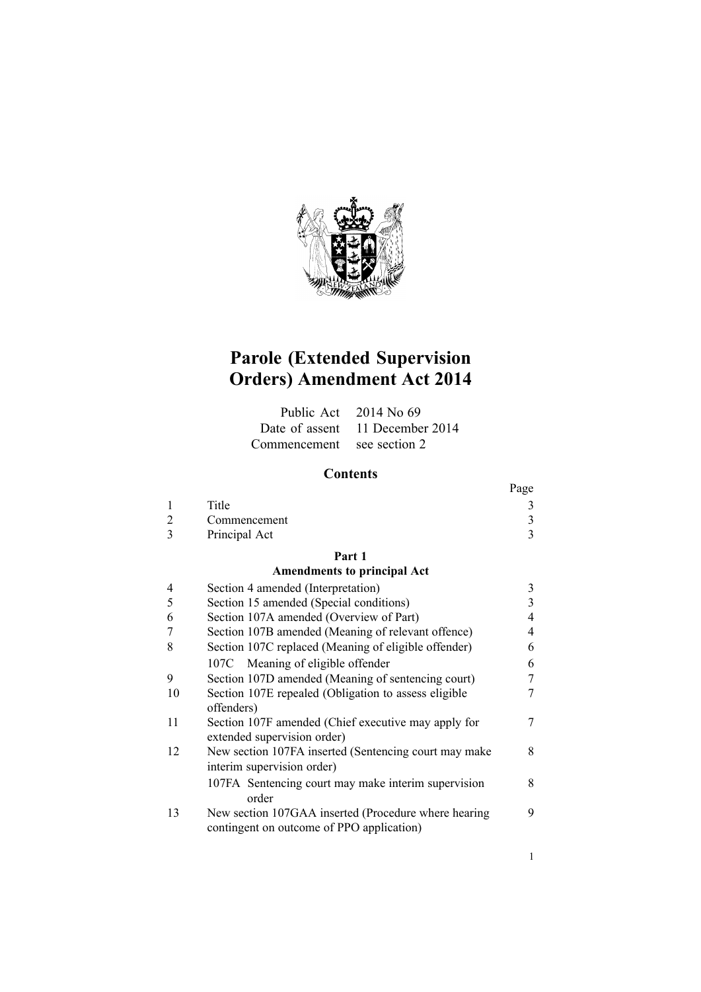

# **Parole (Extended Supervision Orders) Amendment Act 2014**

|                            | Public Act $2014$ No 69         |
|----------------------------|---------------------------------|
|                            | Date of assent 11 December 2014 |
| Commencement see section 2 |                                 |

## **Contents**

|                |                                                                                                   | Page |
|----------------|---------------------------------------------------------------------------------------------------|------|
| 1              | Title                                                                                             | 3    |
| $\overline{2}$ | Commencement                                                                                      | 3    |
| 3              | Principal Act                                                                                     | 3    |
|                | Part 1                                                                                            |      |
|                | <b>Amendments to principal Act</b>                                                                |      |
| 4              | Section 4 amended (Interpretation)                                                                | 3    |
| 5              | Section 15 amended (Special conditions)                                                           | 3    |
| 6              | Section 107A amended (Overview of Part)                                                           | 4    |
| 7              | Section 107B amended (Meaning of relevant offence)                                                | 4    |
| 8              | Section 107C replaced (Meaning of eligible offender)                                              | 6    |
|                | 107C Meaning of eligible offender                                                                 | 6    |
| 9              | Section 107D amended (Meaning of sentencing court)                                                | 7    |
| 10             | Section 107E repealed (Obligation to assess eligible<br>offenders)                                | 7    |
| 11             | Section 107F amended (Chief executive may apply for<br>extended supervision order)                | 7    |
| 12             | New section 107FA inserted (Sentencing court may make<br>interim supervision order)               | 8    |
|                | 107FA Sentencing court may make interim supervision<br>order                                      | 8    |
| 13             | New section 107GAA inserted (Procedure where hearing<br>contingent on outcome of PPO application) | 9    |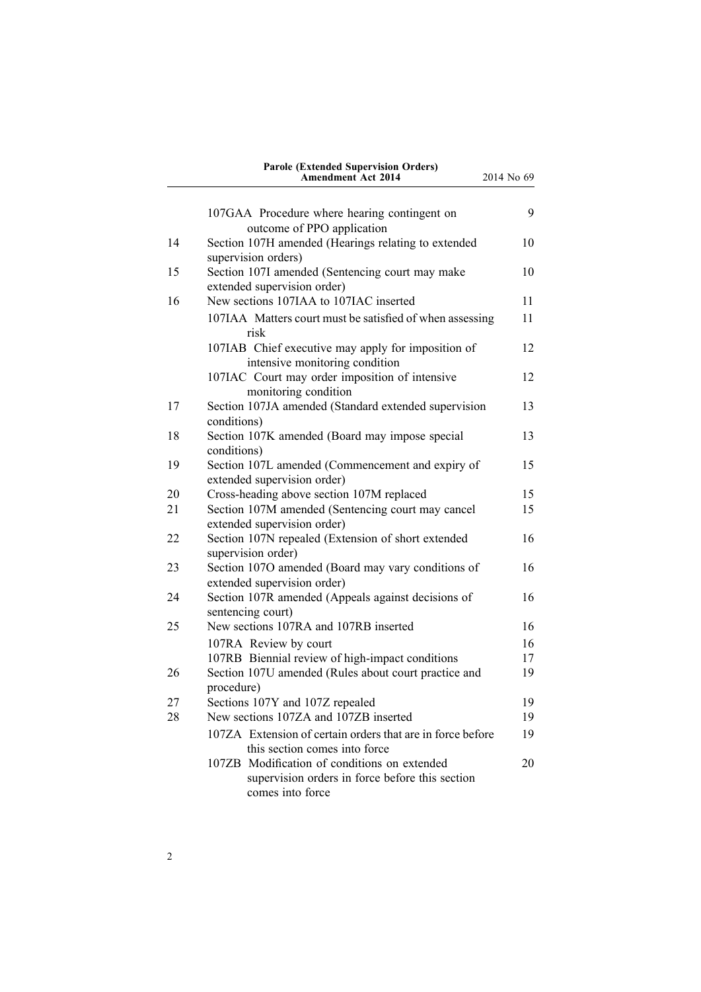|    | <b>Parole (Extended Supervision Orders)</b><br>Amendment Act 2014                                                   | 2014 No 69 |
|----|---------------------------------------------------------------------------------------------------------------------|------------|
|    | 107GAA Procedure where hearing contingent on                                                                        | 9          |
|    | outcome of PPO application                                                                                          |            |
| 14 | Section 107H amended (Hearings relating to extended<br>supervision orders)                                          | 10         |
| 15 | Section 107I amended (Sentencing court may make<br>extended supervision order)                                      | 10         |
| 16 | New sections 107IAA to 107IAC inserted                                                                              | 11         |
|    | 107IAA Matters court must be satisfied of when assessing<br>risk                                                    | 11         |
|    | 107IAB Chief executive may apply for imposition of<br>intensive monitoring condition                                | 12         |
|    | 107IAC Court may order imposition of intensive<br>monitoring condition                                              | 12         |
| 17 | Section 107JA amended (Standard extended supervision<br>conditions)                                                 | 13         |
| 18 | Section 107K amended (Board may impose special<br>conditions)                                                       | 13         |
| 19 | Section 107L amended (Commencement and expiry of<br>extended supervision order)                                     | 15         |
| 20 | Cross-heading above section 107M replaced                                                                           | 15         |
| 21 | Section 107M amended (Sentencing court may cancel<br>extended supervision order)                                    | 15         |
| 22 | Section 107N repealed (Extension of short extended<br>supervision order)                                            | 16         |
| 23 | Section 107O amended (Board may vary conditions of<br>extended supervision order)                                   | 16         |
| 24 | Section 107R amended (Appeals against decisions of<br>sentencing court)                                             | 16         |
| 25 | New sections 107RA and 107RB inserted                                                                               | 16         |
|    | 107RA Review by court                                                                                               | 16         |
|    | 107RB Biennial review of high-impact conditions                                                                     | 17         |
| 26 | Section 107U amended (Rules about court practice and<br>procedure)                                                  | 19         |
| 27 | Sections 107Y and 107Z repealed                                                                                     | 19         |
| 28 | New sections 107ZA and 107ZB inserted                                                                               | 19         |
|    | 107ZA Extension of certain orders that are in force before<br>this section comes into force                         | 19         |
|    | 107ZB Modification of conditions on extended<br>supervision orders in force before this section<br>comes into force | 20         |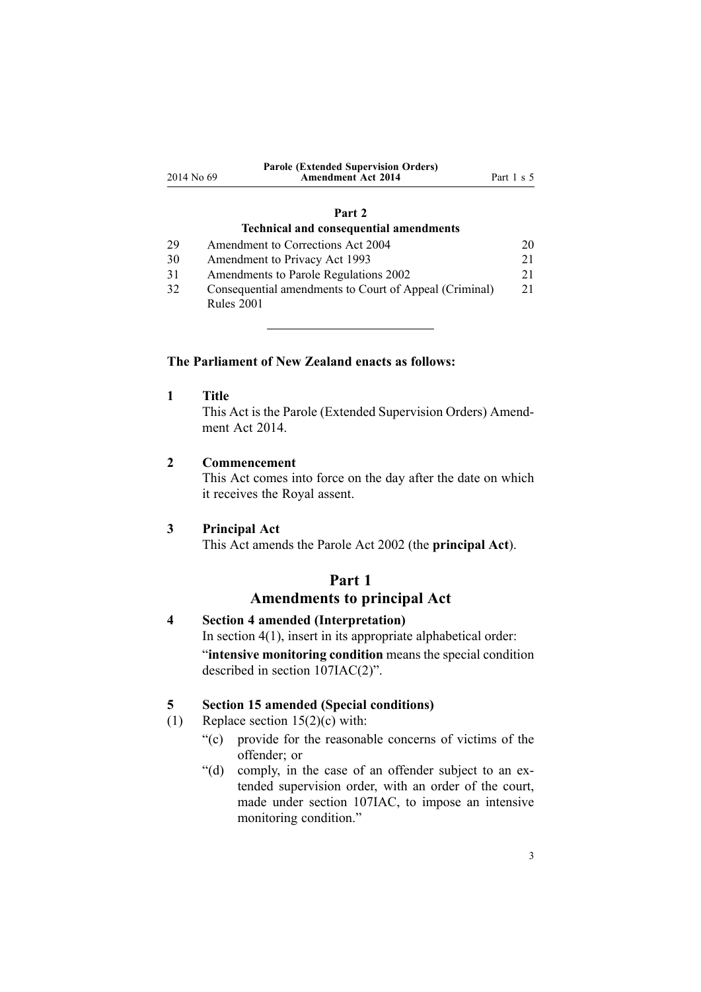<span id="page-2-0"></span>

|            | <b>Parole (Extended Supervision Orders)</b> |                       |
|------------|---------------------------------------------|-----------------------|
| 2014 No 69 | <b>Amendment Act 2014</b>                   | Part $1 \text{ s } 5$ |

#### **[Part](#page-19-0) 2**

#### **Technical and consequential [amendments](#page-19-0)**

| 29 | Amendment to Corrections Act 2004                      | 20 |
|----|--------------------------------------------------------|----|
| 30 | Amendment to Privacy Act 1993                          | 21 |
| 31 | Amendments to Parole Regulations 2002                  | 21 |
| 32 | Consequential amendments to Court of Appeal (Criminal) | 21 |
|    | <b>Rules 2001</b>                                      |    |

#### **The Parliament of New Zealand enacts as follows:**

**1 Title**

This Act is the Parole (Extended Supervision Orders) Amendment Act 2014

### **2 Commencement**

This Act comes into force on the day after the date on which it receives the Royal assent.

### **3 Principal Act**

This Act amends the [Parole](http://www.legislation.govt.nz/pdflink.aspx?id=DLM137631) Act 2002 (the **principal Act**).

### **Part 1 Amendments to principal Act**

### **4 Section 4 amended (Interpretation)**

In [section](http://www.legislation.govt.nz/pdflink.aspx?id=DLM137641)  $4(1)$ , insert in its appropriate alphabetical order: "**intensive monitoring condition** means the special condition described in section 107IAC(2)".

### **5 Section 15 amended (Special conditions)**

(1) Replace section  $15(2)(c)$  with:

- "(c) provide for the reasonable concerns of victims of the offender; or
- "(d) comply, in the case of an offender subject to an extended supervision order, with an order of the court, made under section 107IAC, to impose an intensive monitoring condition."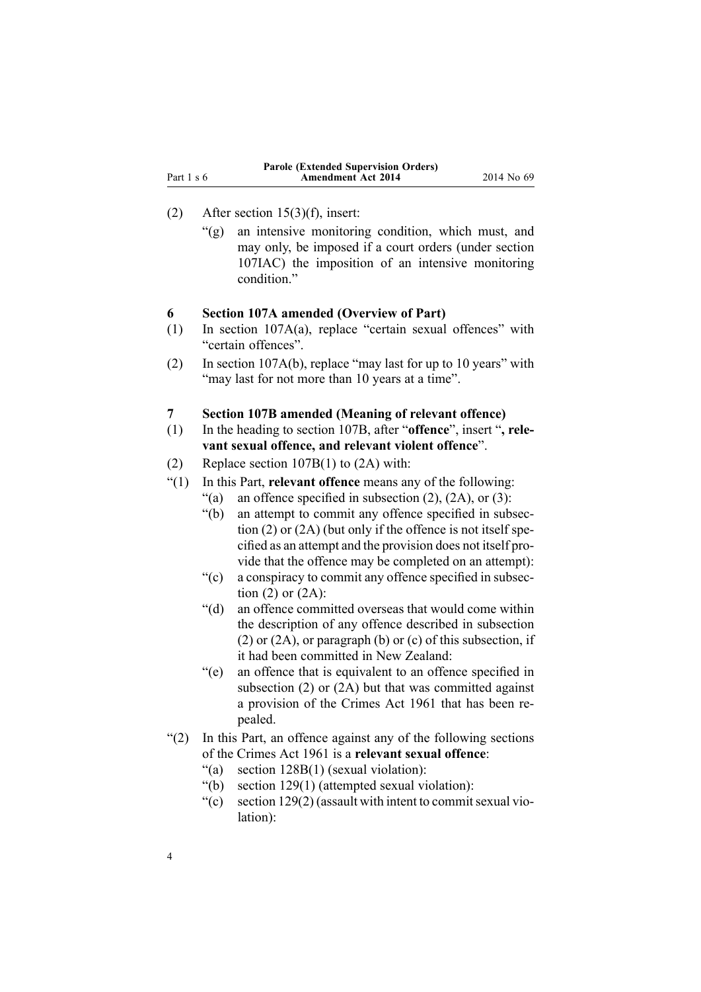<span id="page-3-0"></span>

|            | <b>Parole (Extended Supervision Orders)</b> |            |
|------------|---------------------------------------------|------------|
| Part 1 s 6 | <b>Amendment Act 2014</b>                   | 2014 No 69 |

### (2) After section [15\(3\)\(f\)](http://www.legislation.govt.nz/pdflink.aspx?id=DLM138471), insert:

"(g) an intensive monitoring condition, which must, and may only, be imposed if <sup>a</sup> court orders (under section 107IAC) the imposition of an intensive monitoring condition<sup>"</sup>

#### **6 Section 107A amended (Overview of Part)**

- (1) In section [107A\(a\)](http://www.legislation.govt.nz/pdflink.aspx?id=DLM139605), replace "certain sexual offences" with "certain offences".
- (2) In section [107A\(b\)](http://www.legislation.govt.nz/pdflink.aspx?id=DLM139605), replace "may last for up to 10 years" with "may last for not more than 10 years at a time".
- **7 Section 107B amended (Meaning of relevant offence)**
- (1) In the heading to [section](http://www.legislation.govt.nz/pdflink.aspx?id=DLM139607) 107B, after "**offence**", insert "**, relevant sexual offence, and relevant violent offence**".
- (2) Replace section [107B\(1\)](http://www.legislation.govt.nz/pdflink.aspx?id=DLM139607) to (2A) with:
- "(1) In this Part, **relevant offence** means any of the following:
	- "(a) an offence specified in subsection  $(2)$ ,  $(2A)$ , or  $(3)$ :
	- "(b) an attempt to commit any offence specified in subsection (2) or (2A) (but only if the offence is not itself specified as an attempt and the provision does not itself provide that the offence may be completed on an attempt):
	- "(c) <sup>a</sup> conspiracy to commit any offence specified in subsection  $(2)$  or  $(2A)$ :
	- "(d) an offence committed overseas that would come within the description of any offence described in subsection (2) or (2A), or paragraph (b) or (c) of this subsection, if it had been committed in New Zealand:
	- "(e) an offence that is equivalent to an offence specified in subsection (2) or (2A) but that was committed against <sup>a</sup> provision of the Crimes Act 1961 that has been repealed.
- "(2) In this Part, an offence against any of the following sections of the Crimes Act 1961 is <sup>a</sup> **relevant sexual offence**:
	- "(a) section 128B(1) (sexual violation):
	- "(b) section 129(1) (attempted sexual violation):
	- "(c) section  $129(2)$  (assault with intent to commit sexual violation):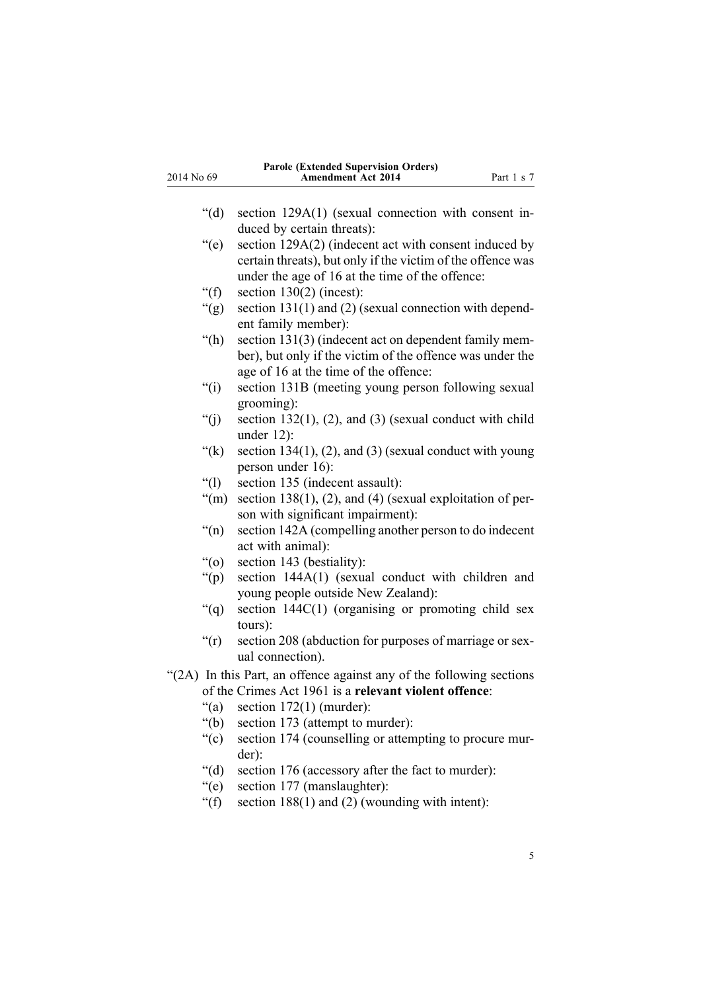| 2014 No 69       | <b>Parole (Extended Supervision Orders)</b><br>Amendment Act 2014<br>Part 1 s 7                                                                             |
|------------------|-------------------------------------------------------------------------------------------------------------------------------------------------------------|
| " $(d)$ "        | section 129A(1) (sexual connection with consent in-                                                                                                         |
| $\degree$ (e)    | duced by certain threats):<br>section 129A(2) (indecent act with consent induced by<br>certain threats), but only if the victim of the offence was          |
| " $(f)$ "        | under the age of 16 at the time of the offence:<br>section $130(2)$ (incest):                                                                               |
| " $(g)$ "        | section $131(1)$ and (2) (sexual connection with depend-<br>ent family member):                                                                             |
| " $(h)$          | section 131(3) (indecent act on dependent family mem-<br>ber), but only if the victim of the offence was under the<br>age of 16 at the time of the offence: |
| $\degree$ (i)    | section 131B (meeting young person following sexual<br>grooming):                                                                                           |
| " $(j)$          | section $132(1)$ , (2), and (3) (sexual conduct with child<br>under $12$ ):                                                                                 |
| " $(k)$          | section $134(1)$ , (2), and (3) (sexual conduct with young<br>person under 16):                                                                             |
| $\lq(1)$         | section 135 (indecent assault):                                                                                                                             |
| " $(m)$          | section 138(1), (2), and (4) (sexual exploitation of per-<br>son with significant impairment):                                                              |
| $\mathrm{``(n)}$ | section 142A (compelling another person to do indecent<br>act with animal):                                                                                 |
| $\degree$ (0)    | section 143 (bestiality):                                                                                                                                   |
| " $(p)$ "        | section 144A(1) (sexual conduct with children and<br>young people outside New Zealand):                                                                     |
| $\lq( q )$       | section $144C(1)$ (organising or promoting child sex<br>tours):                                                                                             |
| " $(r)$          | section 208 (abduction for purposes of marriage or sex-<br>ual connection).                                                                                 |
|                  | "(2A) In this Part, an offence against any of the following sections                                                                                        |
|                  | of the Crimes Act 1961 is a relevant violent offence:                                                                                                       |
| " $(a)$ "        | section $172(1)$ (murder):                                                                                                                                  |
| " $(b)$ "        | section 173 (attempt to murder):                                                                                                                            |
| ``(c)            | section 174 (counselling or attempting to procure mur-<br>der):                                                                                             |
| " $(d)$ "        | section 176 (accessory after the fact to murder):                                                                                                           |
| " $(e)$          | section 177 (manslaughter):                                                                                                                                 |
| " $(f)$ "        | section 188(1) and (2) (wounding with intent):                                                                                                              |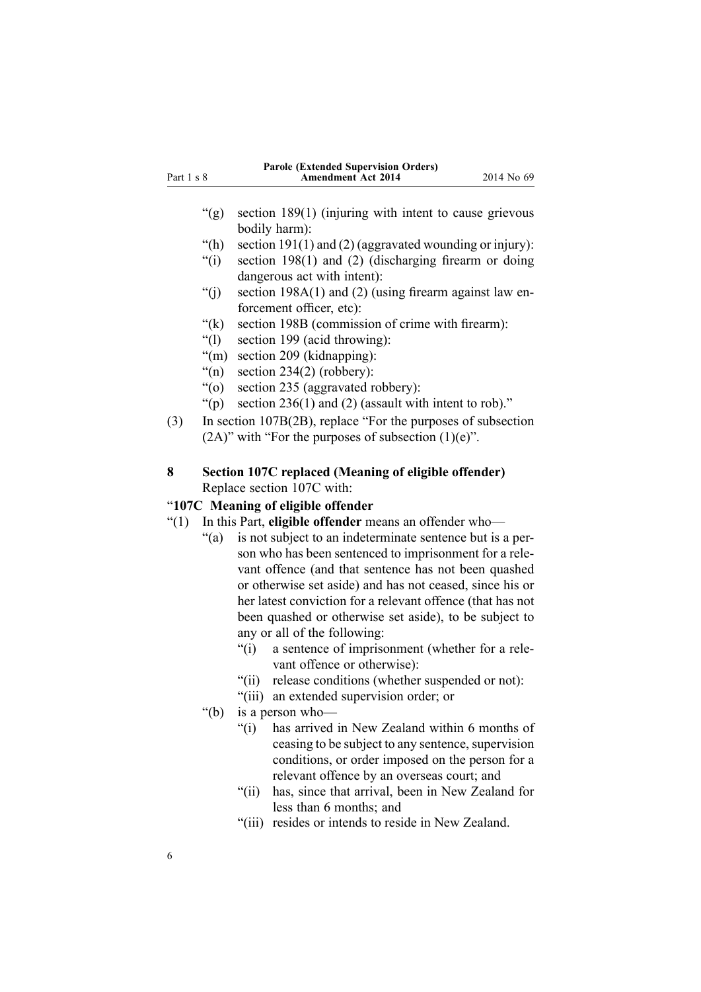<span id="page-5-0"></span>

|            | <b>Parole (Extended Supervision Orders)</b> |            |
|------------|---------------------------------------------|------------|
| Part 1 s 8 | <b>Amendment Act 2014</b>                   | 2014 No 69 |
|            |                                             |            |

- "(g) section 189(1) (injuring with intent to cause grievous bodily harm):
- "(h) section 191(1) and (2) (aggravated wounding or injury):
- "(i) section 198(1) and (2) (discharging firearm or doing dangerous act with intent):
- "(i) section  $198A(1)$  and (2) (using firearm against law enforcement officer, etc):
- "(k) section 198B (commission of crime with firearm):
- "(l) section 199 (acid throwing):
- "(m) section 209 (kidnapping):
- "(n) section  $234(2)$  (robbery):
- "(o) section 235 (aggravated robbery):
- "(p) section  $236(1)$  and (2) (assault with intent to rob)."
- (3) In section [107B\(2B\)](http://www.legislation.govt.nz/pdflink.aspx?id=DLM139607), replace "For the purposes of subsection  $(2A)$ " with "For the purposes of subsection  $(1)(e)$ ".
- **8 Section 107C replaced (Meaning of eligible offender)** Replace [section](http://www.legislation.govt.nz/pdflink.aspx?id=DLM139611) 107C with:

### "**107C Meaning of eligible offender**

- "(1) In this Part, **eligible offender** means an offender who—
	- "(a) is not subject to an indeterminate sentence but is <sup>a</sup> person who has been sentenced to imprisonment for <sup>a</sup> relevant offence (and that sentence has not been quashed or otherwise set aside) and has not ceased, since his or her latest conviction for <sup>a</sup> relevant offence (that has not been quashed or otherwise set aside), to be subject to any or all of the following:
		- "(i) <sup>a</sup> sentence of imprisonment (whether for <sup>a</sup> relevant offence or otherwise):
		- "(ii) release conditions (whether suspended or not):
		- "(iii) an extended supervision order; or
	- "(b) is <sup>a</sup> person who—
		- "(i) has arrived in New Zealand within 6 months of ceasing to be subject to any sentence, supervision conditions, or order imposed on the person for <sup>a</sup> relevant offence by an overseas court; and
		- "(ii) has, since that arrival, been in New Zealand for less than 6 months; and
		- "(iii) resides or intends to reside in New Zealand.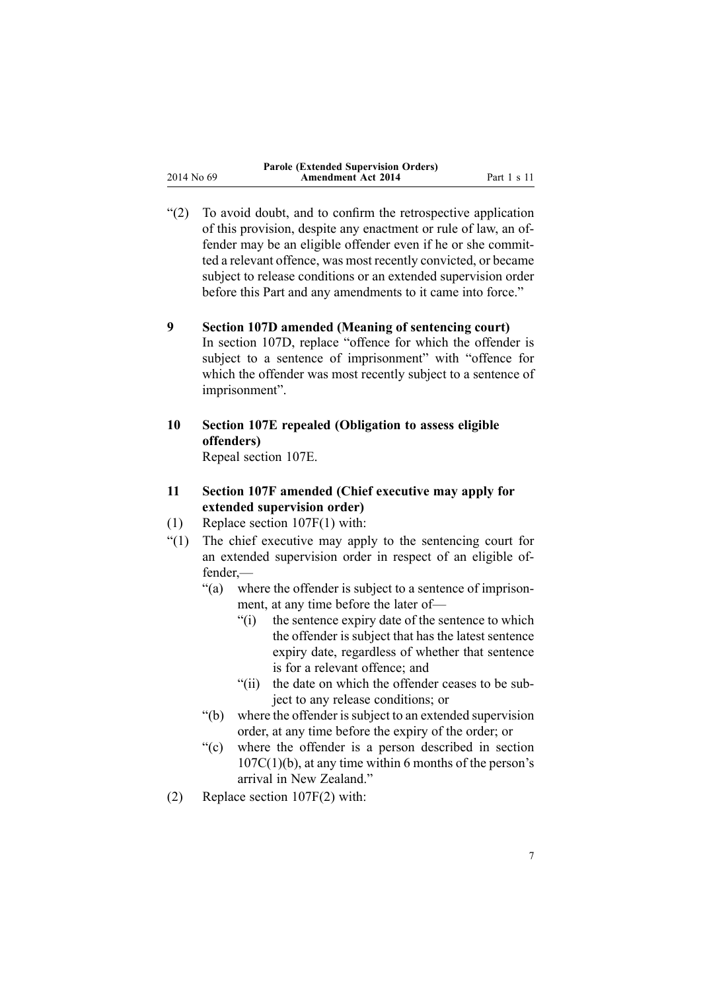<span id="page-6-0"></span>

| 2014 No 69 |  |  |
|------------|--|--|

"(2) To avoid doubt, and to confirm the retrospective application of this provision, despite any enactment or rule of law, an offender may be an eligible offender even if he or she committed <sup>a</sup> relevant offence, was most recently convicted, or became subject to release conditions or an extended supervision order before this Part and any amendments to it came into force."

### **9 Section 107D amended (Meaning of sentencing court)**

In [section](http://www.legislation.govt.nz/pdflink.aspx?id=DLM139614) 107D, replace "offence for which the offender is subject to <sup>a</sup> sentence of imprisonment" with "offence for which the offender was most recently subject to <sup>a</sup> sentence of imprisonment".

- **10 Section 107E repealed (Obligation to assess eligible offenders)** Repeal [section](http://www.legislation.govt.nz/pdflink.aspx?id=DLM139618) 107E.
- **11 Section 107F amended (Chief executive may apply for extended supervision order)**
- (1) Replace section [107F\(1\)](http://www.legislation.govt.nz/pdflink.aspx?id=DLM139622) with:
- "(1) The chief executive may apply to the sentencing court for an extended supervision order in respec<sup>t</sup> of an eligible offender,—
	- "(a) where the offender is subject to <sup>a</sup> sentence of imprisonment, at any time before the later of—
		- "(i) the sentence expiry date of the sentence to which the offender is subject that has the latest sentence expiry date, regardless of whether that sentence is for <sup>a</sup> relevant offence; and
		- "(ii) the date on which the offender ceases to be subject to any release conditions; or
	- "(b) where the offender is subject to an extended supervision order, at any time before the expiry of the order; or
	- "(c) where the offender is <sup>a</sup> person described in section  $107C(1)(b)$ , at any time within 6 months of the person's arrival in New Zealand."
- (2) Replace section [107F\(2\)](http://www.legislation.govt.nz/pdflink.aspx?id=DLM139622) with: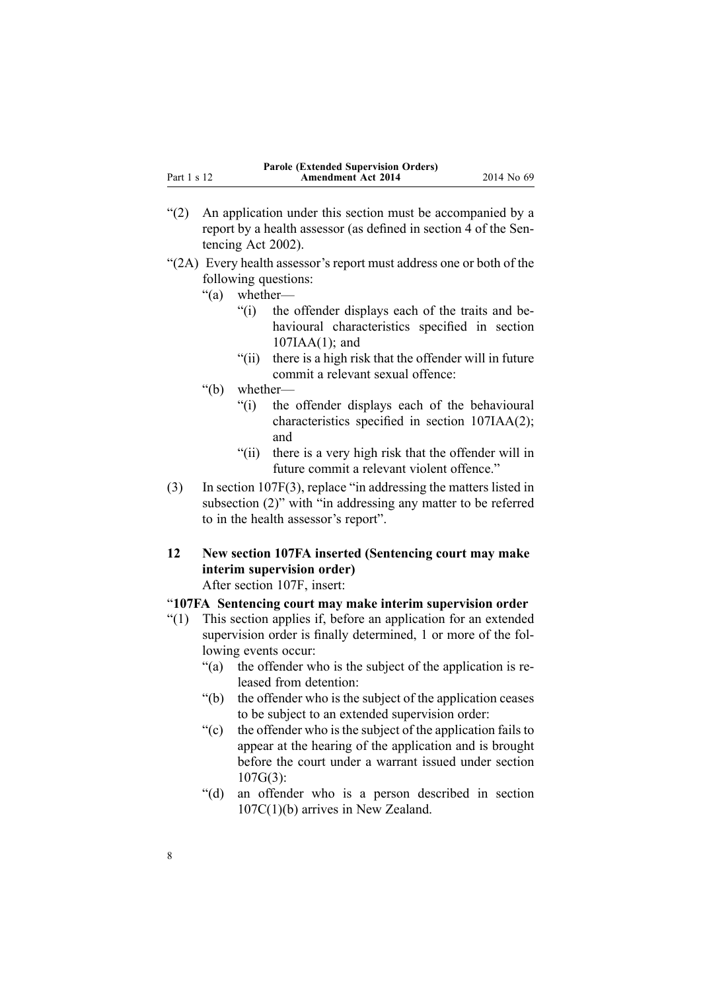- <span id="page-7-0"></span>"(2) An application under this section must be accompanied by <sup>a</sup> repor<sup>t</sup> by <sup>a</sup> health assessor (as defined in section 4 of the Sentencing Act 2002).
- "(2A) Every health assessor's repor<sup>t</sup> must address one or both of the following questions:
	- "(a) whether—
		- "(i) the offender displays each of the traits and behavioural characteristics specified in section 107IAA(1); and
		- "(ii) there is <sup>a</sup> high risk that the offender will in future commit <sup>a</sup> relevant sexual offence:
	- "(b) whether—
		- "(i) the offender displays each of the behavioural characteristics specified in section 107IAA(2); and
		- "(ii) there is <sup>a</sup> very high risk that the offender will in future commit <sup>a</sup> relevant violent offence."
- (3) In section [107F\(3\)](http://www.legislation.govt.nz/pdflink.aspx?id=DLM139622), replace "in addressing the matters listed in subsection (2)" with "in addressing any matter to be referred to in the health assessor's report".
- **12 New section 107FA inserted (Sentencing court may make interim supervision order)**

After [section](http://www.legislation.govt.nz/pdflink.aspx?id=DLM139622) 107F, insert:

### "**107FA Sentencing court may make interim supervision order**

- "(1) This section applies if, before an application for an extended supervision order is finally determined, 1 or more of the following events occur:
	- "(a) the offender who is the subject of the application is released from detention:
	- "(b) the offender who is the subject of the application ceases to be subject to an extended supervision order:
	- "(c) the offender who is the subject of the application fails to appear at the hearing of the application and is brought before the court under <sup>a</sup> warrant issued under section  $107G(3)$
	- "(d) an offender who is <sup>a</sup> person described in section 107C(1)(b) arrives in New Zealand.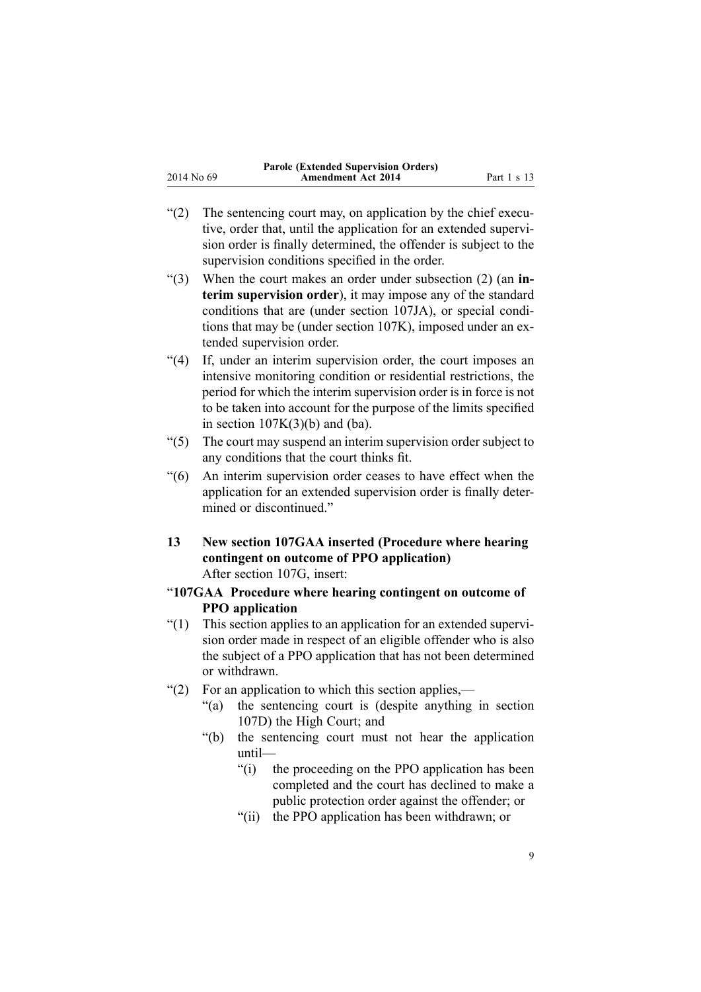- <span id="page-8-0"></span>"(2) The sentencing court may, on application by the chief executive, order that, until the application for an extended supervision order is finally determined, the offender is subject to the supervision conditions specified in the order.
- "(3) When the court makes an order under subsection (2) (an **interim supervision order**), it may impose any of the standard conditions that are (under section 107JA), or special conditions that may be (under section 107K), imposed under an extended supervision order.
- "(4) If, under an interim supervision order, the court imposes an intensive monitoring condition or residential restrictions, the period for which the interim supervision order is in force is not to be taken into account for the purpose of the limits specified in section  $107K(3)(b)$  and (ba).
- "(5) The court may suspend an interim supervision order subject to any conditions that the court thinks fit.
- "(6) An interim supervision order ceases to have effect when the application for an extended supervision order is finally determined or discontinued."
- **13 New section 107GAA inserted (Procedure where hearing contingent on outcome of PPO application)** After [section](http://www.legislation.govt.nz/pdflink.aspx?id=DLM139624) 107G, insert:
- "**107GAA Procedure where hearing contingent on outcome of PPO application**
- "(1) This section applies to an application for an extended supervision order made in respec<sup>t</sup> of an eligible offender who is also the subject of <sup>a</sup> PPO application that has not been determined or withdrawn.
- "(2) For an application to which this section applies,—
	- "(a) the sentencing court is (despite anything in section 107D) the High Court; and
	- "(b) the sentencing court must not hear the application until—
		- "(i) the proceeding on the PPO application has been completed and the court has declined to make <sup>a</sup> public protection order against the offender; or
		- "(ii) the PPO application has been withdrawn; or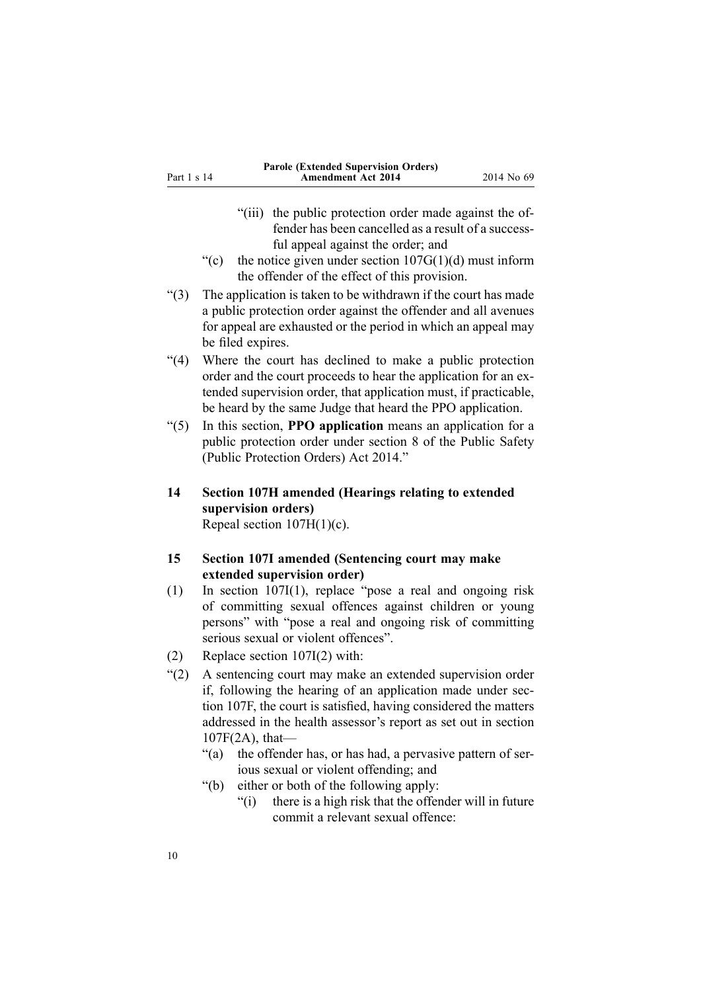- <span id="page-9-0"></span>"(iii) the public protection order made against the offender has been cancelled as <sup>a</sup> result of <sup>a</sup> successful appeal against the order; and
- "(c) the notice given under section  $107G(1)(d)$  must inform the offender of the effect of this provision.
- "(3) The application is taken to be withdrawn if the court has made <sup>a</sup> public protection order against the offender and all avenues for appeal are exhausted or the period in which an appeal may be filed expires.
- "(4) Where the court has declined to make <sup>a</sup> public protection order and the court proceeds to hear the application for an extended supervision order, that application must, if practicable, be heard by the same Judge that heard the PPO application.
- "(5) In this section, **PPO application** means an application for <sup>a</sup> public protection order under section 8 of the Public Safety (Public Protection Orders) Act 2014."
- **14 Section 107H amended (Hearings relating to extended supervision orders)** Repeal section  $107H(1)(c)$ .
- **15 Section 107I amended (Sentencing court may make extended supervision order)**
- (1) In section [107I\(1\)](http://www.legislation.govt.nz/pdflink.aspx?id=DLM139630), replace "pose <sup>a</sup> real and ongoing risk of committing sexual offences against children or young persons" with "pose <sup>a</sup> real and ongoing risk of committing serious sexual or violent offences".
- (2) Replace section [107I\(2\)](http://www.legislation.govt.nz/pdflink.aspx?id=DLM139630) with:
- "(2) A sentencing court may make an extended supervision order if, following the hearing of an application made under section 107F, the court is satisfied, having considered the matters addressed in the health assessor's repor<sup>t</sup> as set out in section 107F(2A), that—
	- "(a) the offender has, or has had, <sup>a</sup> pervasive pattern of serious sexual or violent offending; and
	- "(b) either or both of the following apply:
		- "(i) there is <sup>a</sup> high risk that the offender will in future commit <sup>a</sup> relevant sexual offence: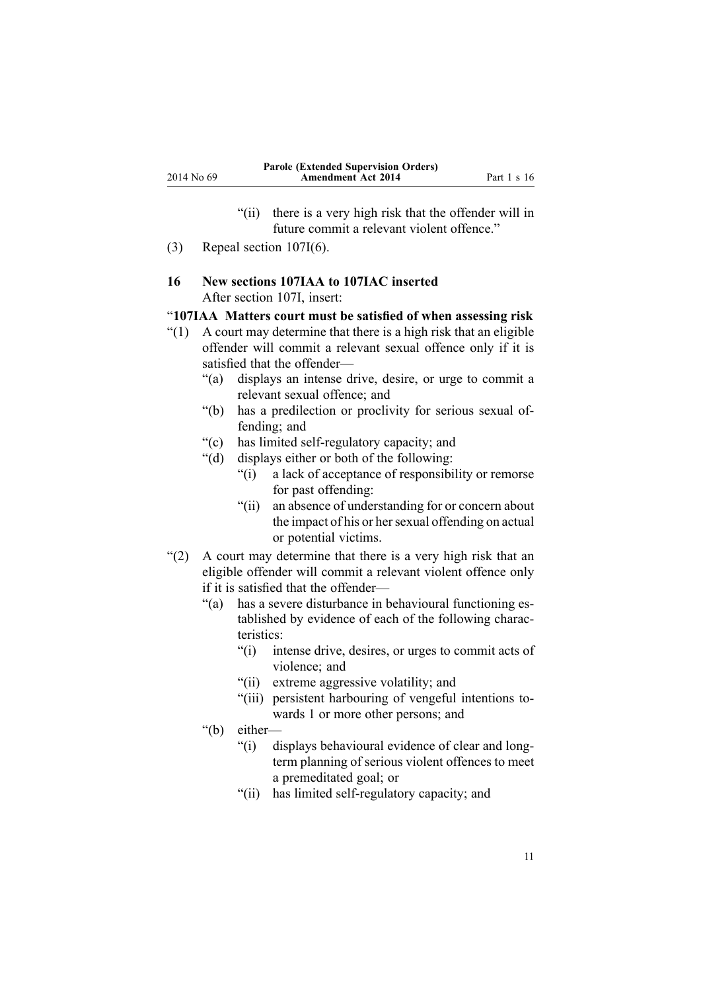- "(ii) there is <sup>a</sup> very high risk that the offender will in future commit <sup>a</sup> relevant violent offence."
- <span id="page-10-0"></span>(3) Repeal section [107I\(6\)](http://www.legislation.govt.nz/pdflink.aspx?id=DLM139630).

### **16 New sections 107IAA to 107IAC inserted** After [section](http://www.legislation.govt.nz/pdflink.aspx?id=DLM139630) 107I, insert:

### "**107IAA Matters court must be satisfied of when assessing risk**

- $(1)$  A court may determine that there is a high risk that an eligible offender will commit <sup>a</sup> relevant sexual offence only if it is satisfied that the offender—
	- "(a) displays an intense drive, desire, or urge to commit <sup>a</sup> relevant sexual offence; and
	- "(b) has <sup>a</sup> predilection or proclivity for serious sexual offending; and
	- "(c) has limited self-regulatory capacity; and
	- "(d) displays either or both of the following:
		- "(i) <sup>a</sup> lack of acceptance of responsibility or remorse for pas<sup>t</sup> offending:
		- "(ii) an absence of understanding for or concern about the impact of his or her sexual offending on actual or potential victims.
- "(2) A court may determine that there is <sup>a</sup> very high risk that an eligible offender will commit <sup>a</sup> relevant violent offence only if it is satisfied that the offender—
	- "(a) has <sup>a</sup> severe disturbance in behavioural functioning established by evidence of each of the following characteristics:
		- "(i) intense drive, desires, or urges to commit acts of violence; and
		- "(ii) extreme aggressive volatility; and
		- "(iii) persistent harbouring of vengeful intentions towards 1 or more other persons; and
	- "(b) either—
		- "(i) displays behavioural evidence of clear and longterm planning of serious violent offences to meet <sup>a</sup> premeditated goal; or
		- "(ii) has limited self-regulatory capacity; and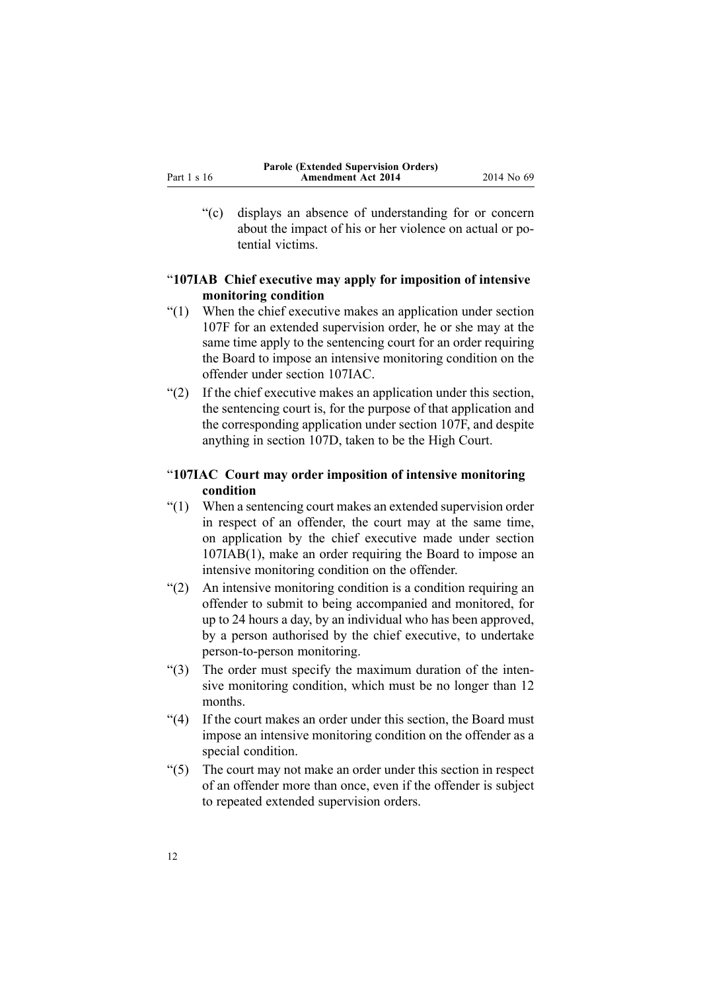<span id="page-11-0"></span>"(c) displays an absence of understanding for or concern about the impact of his or her violence on actual or potential victims.

### "**107IAB Chief executive may apply for imposition of intensive monitoring condition**

- "(1) When the chief executive makes an application under section 107F for an extended supervision order, he or she may at the same time apply to the sentencing court for an order requiring the Board to impose an intensive monitoring condition on the offender under section 107IAC.
- "(2) If the chief executive makes an application under this section, the sentencing court is, for the purpose of that application and the corresponding application under section 107F, and despite anything in section 107D, taken to be the High Court.

### "**107IAC Court may order imposition of intensive monitoring condition**

- "(1) When <sup>a</sup> sentencing court makes an extended supervision order in respec<sup>t</sup> of an offender, the court may at the same time, on application by the chief executive made under section 107IAB(1), make an order requiring the Board to impose an intensive monitoring condition on the offender.
- "(2) An intensive monitoring condition is <sup>a</sup> condition requiring an offender to submit to being accompanied and monitored, for up to 24 hours <sup>a</sup> day, by an individual who has been approved, by <sup>a</sup> person authorised by the chief executive, to undertake person-to-person monitoring.
- "(3) The order must specify the maximum duration of the intensive monitoring condition, which must be no longer than 12 months.
- "(4) If the court makes an order under this section, the Board must impose an intensive monitoring condition on the offender as <sup>a</sup> special condition.
- "(5) The court may not make an order under this section in respec<sup>t</sup> of an offender more than once, even if the offender is subject to repeated extended supervision orders.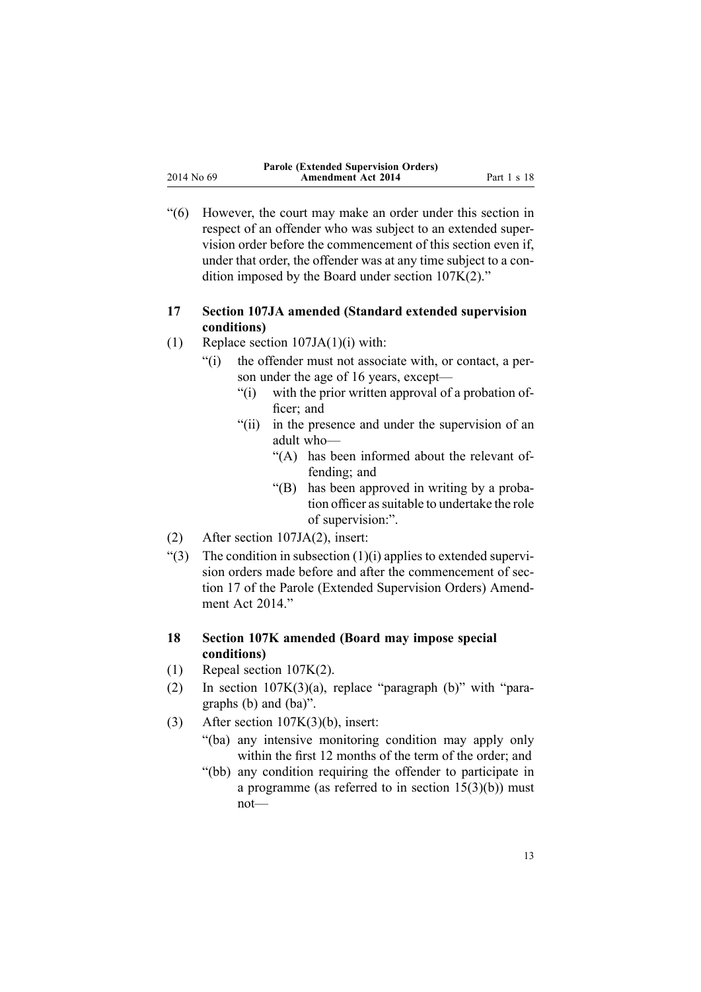<span id="page-12-0"></span>"(6) However, the court may make an order under this section in respec<sup>t</sup> of an offender who was subject to an extended supervision order before the commencement of this section even if, under that order, the offender was at any time subject to <sup>a</sup> condition imposed by the Board under section 107K(2)."

### **17 Section 107JA amended (Standard extended supervision conditions)**

- (1) Replace section [107JA\(1\)\(i\)](http://www.legislation.govt.nz/pdflink.aspx?id=DLM139637) with:
	- "(i) the offender must not associate with, or contact, <sup>a</sup> person under the age of 16 years, except—
		- "(i) with the prior written approval of <sup>a</sup> probation officer: and
		- "(ii) in the presence and under the supervision of an adult who—
			- "(A) has been informed about the relevant offending; and
			- "(B) has been approved in writing by <sup>a</sup> probation officer as suitable to undertake the role of supervision:".
- (2) After section [107JA\(2\)](http://www.legislation.govt.nz/pdflink.aspx?id=DLM139637), insert:
- $\degree$ (3) The condition in subsection (1)(i) applies to extended supervision orders made before and after the commencement of section 17 of the Parole (Extended Supervision Orders) Amendment Act 2014."

### **18 Section 107K amended (Board may impose special conditions)**

- (1) Repeal section [107K\(2\)](http://www.legislation.govt.nz/pdflink.aspx?id=DLM139638).
- (2) In section [107K\(3\)\(a\)](http://www.legislation.govt.nz/pdflink.aspx?id=DLM139638), replace "paragraph (b)" with "paragraphs (b) and (ba)".
- (3) After section  $107K(3)(b)$ , insert:
	- "(ba) any intensive monitoring condition may apply only within the first 12 months of the term of the order; and
	- "(bb) any condition requiring the offender to participate in a programme (as referred to in section  $15(3)(b)$ ) must not—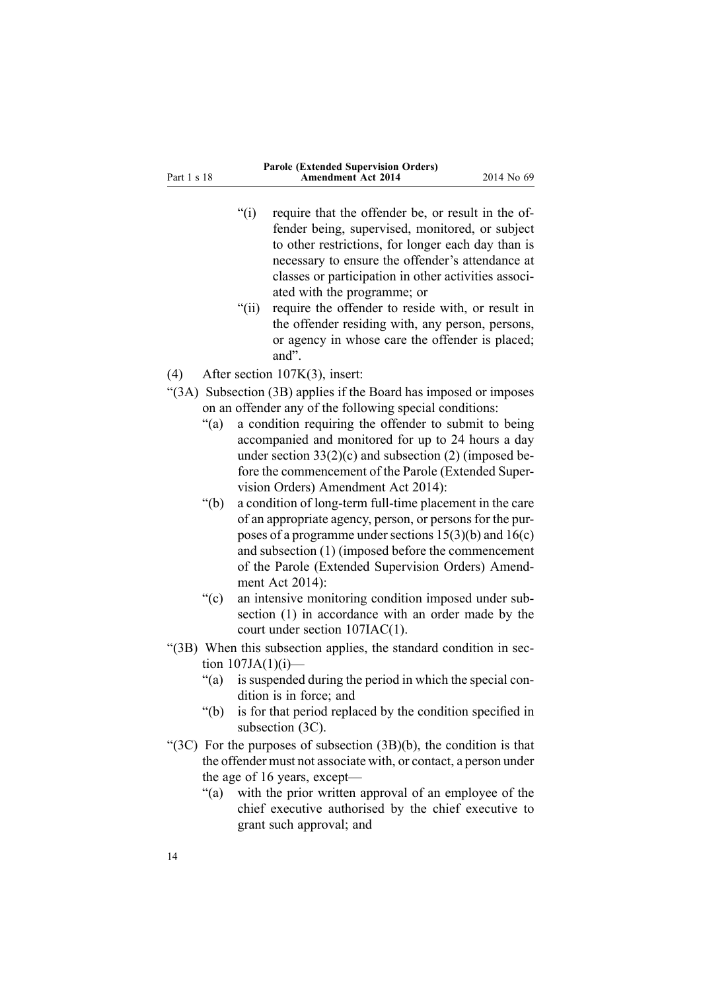Part 1 <sup>s</sup> 18

- "(i) require that the offender be, or result in the offender being, supervised, monitored, or subject to other restrictions, for longer each day than is necessary to ensure the offender's attendance at classes or participation in other activities associated with the programme; or
- "(ii) require the offender to reside with, or result in the offender residing with, any person, persons, or agency in whose care the offender is placed; and".
- (4) After section [107K\(3\)](http://www.legislation.govt.nz/pdflink.aspx?id=DLM139638), insert:
- "(3A) Subsection (3B) applies if the Board has imposed or imposes on an offender any of the following special conditions:
	- "(a) <sup>a</sup> condition requiring the offender to submit to being accompanied and monitored for up to 24 hours <sup>a</sup> day under section  $33(2)(c)$  and subsection (2) (imposed before the commencement of the Parole (Extended Supervision Orders) Amendment Act 2014):
	- "(b) <sup>a</sup> condition of long-term full-time placement in the care of an appropriate agency, person, or persons for the purposes of a programme under sections  $15(3)(b)$  and  $16(c)$ and subsection (1) (imposed before the commencement of the Parole (Extended Supervision Orders) Amendment Act 2014):
	- "(c) an intensive monitoring condition imposed under subsection (1) in accordance with an order made by the court under section 107IAC(1).
- "(3B) When this subsection applies, the standard condition in section  $107JA(1)(i)$ —
	- "(a) is suspended during the period in which the special condition is in force; and
	- "(b) is for that period replaced by the condition specified in subsection (3C).
- "(3C) For the purposes of subsection  $(3B)(b)$ , the condition is that the offender must not associate with, or contact, <sup>a</sup> person under the age of 16 years, except—
	- "(a) with the prior written approval of an employee of the chief executive authorised by the chief executive to gran<sup>t</sup> such approval; and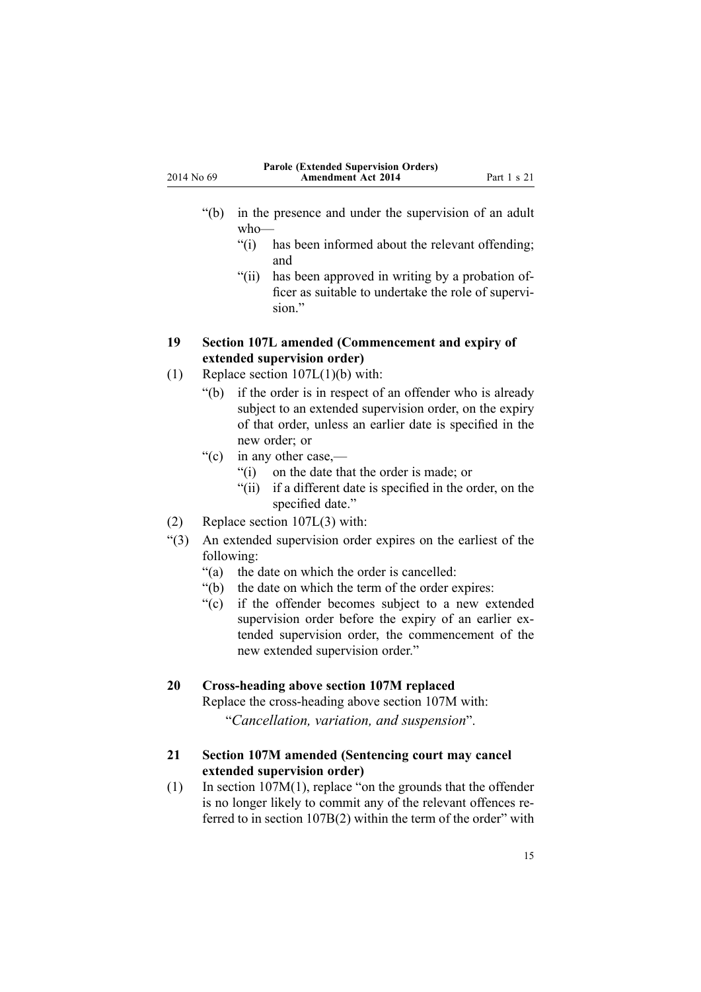<span id="page-14-0"></span>

|            | <b>Parole (Extended Supervision Orders)</b> |             |
|------------|---------------------------------------------|-------------|
| 2014 No 69 | <b>Amendment Act 2014</b>                   | Part 1 s 21 |

- "(b) in the presence and under the supervision of an adult who—
	- "(i) has been informed about the relevant offending; and
	- "(ii) has been approved in writing by <sup>a</sup> probation officer as suitable to undertake the role of supervision"
- **19 Section 107L amended (Commencement and expiry of extended supervision order)**
- (1) Replace section [107L\(1\)\(b\)](http://www.legislation.govt.nz/pdflink.aspx?id=DLM139640) with:
	- "(b) if the order is in respec<sup>t</sup> of an offender who is already subject to an extended supervision order, on the expiry of that order, unless an earlier date is specified in the new order; or
	- "(c) in any other case,—
		- "(i) on the date that the order is made; or
		- "(ii) if <sup>a</sup> different date is specified in the order, on the specified date."
- (2) Replace section [107L\(3\)](http://www.legislation.govt.nz/pdflink.aspx?id=DLM139640) with:
- "(3) An extended supervision order expires on the earliest of the following:
	- "(a) the date on which the order is cancelled:
	- "(b) the date on which the term of the order expires:
	- "(c) if the offender becomes subject to <sup>a</sup> new extended supervision order before the expiry of an earlier extended supervision order, the commencement of the new extended supervision order."

### **20 Cross-heading above section 107M replaced**

Replace the cross-heading above [section](http://www.legislation.govt.nz/pdflink.aspx?id=DLM139644) 107M with:

"*Cancellation, variation, and suspension*".

### **21 Section 107M amended (Sentencing court may cancel extended supervision order)**

(1) In section [107M\(1\)](http://www.legislation.govt.nz/pdflink.aspx?id=DLM139644), replace "on the grounds that the offender is no longer likely to commit any of the relevant offences referred to in section 107B(2) within the term of the order" with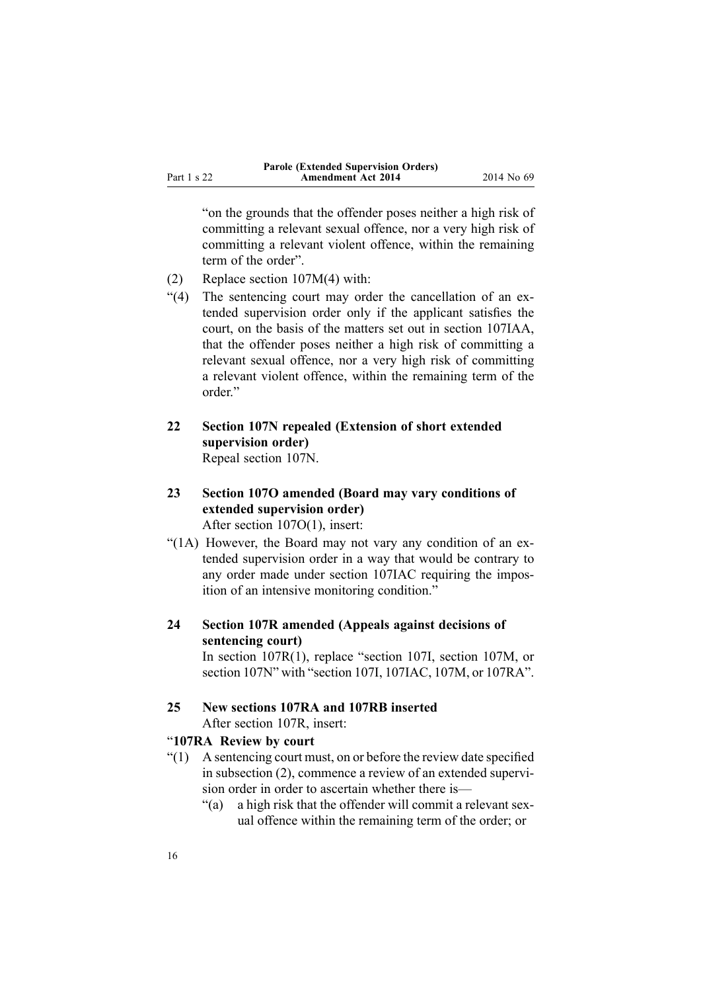<span id="page-15-0"></span>"on the grounds that the offender poses neither <sup>a</sup> high risk of committing <sup>a</sup> relevant sexual offence, nor <sup>a</sup> very high risk of committing <sup>a</sup> relevant violent offence, within the remaining term of the order".

- (2) Replace section 107M(4) with:
- "(4) The sentencing court may order the cancellation of an extended supervision order only if the applicant satisfies the court, on the basis of the matters set out in section 107IAA, that the offender poses neither <sup>a</sup> high risk of committing <sup>a</sup> relevant sexual offence, nor <sup>a</sup> very high risk of committing <sup>a</sup> relevant violent offence, within the remaining term of the order."
- **22 Section 107N repealed (Extension of short extended supervision order)** Repeal [section](http://www.legislation.govt.nz/pdflink.aspx?id=DLM139646) 107N.
- **23 Section 107O amended (Board may vary conditions of extended supervision order)** After section [107O\(1\)](http://www.legislation.govt.nz/pdflink.aspx?id=DLM139648), insert:
- "(1A) However, the Board may not vary any condition of an extended supervision order in <sup>a</sup> way that would be contrary to any order made under section 107IAC requiring the imposition of an intensive monitoring condition."
- **24 Section 107R amended (Appeals against decisions of sentencing court)** In section [107R\(1\)](http://www.legislation.govt.nz/pdflink.aspx?id=DLM139657), replace "section 107I, section 107M, or

section 107N" with "section 107I, 107IAC, 107M, or 107RA".

#### **25 New sections 107RA and 107RB inserted** After [section](http://www.legislation.govt.nz/pdflink.aspx?id=DLM139657) 107R, insert:

### "**107RA Review by court**

- "(1) A sentencing court must, on or before the review date specified in subsection (2), commence <sup>a</sup> review of an extended supervision order in order to ascertain whether there is—
	- "(a) <sup>a</sup> high risk that the offender will commit <sup>a</sup> relevant sexual offence within the remaining term of the order; or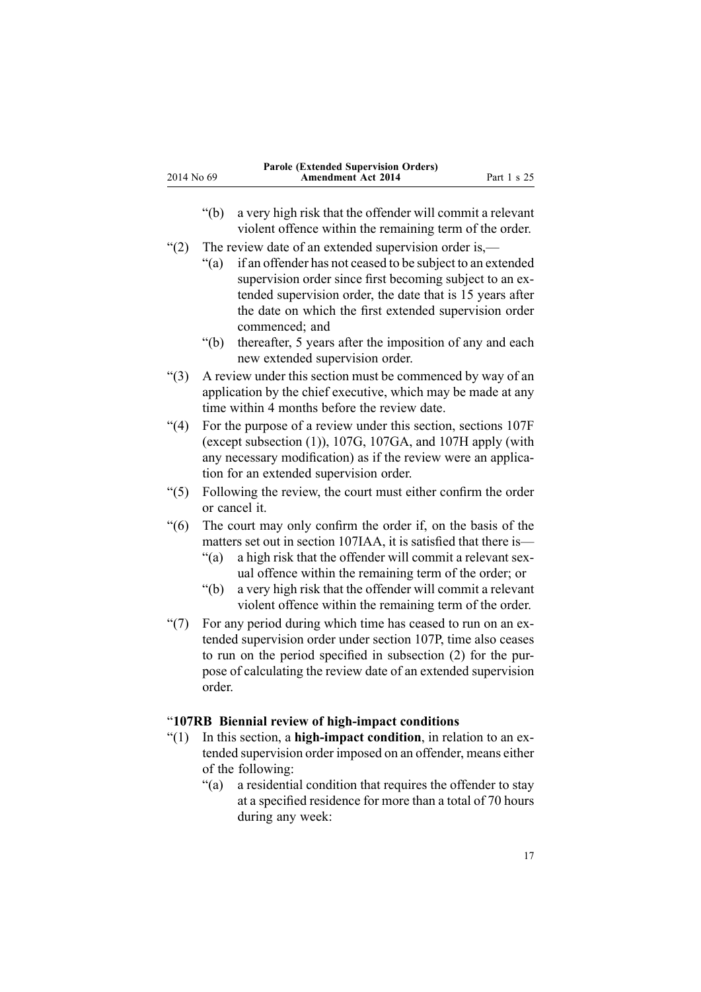- <span id="page-16-0"></span>"(b) <sup>a</sup> very high risk that the offender will commit <sup>a</sup> relevant violent offence within the remaining term of the order.
- "(2) The review date of an extended supervision order is,—
	- "(a) if an offender has not ceased to be subject to an extended supervision order since first becoming subject to an extended supervision order, the date that is 15 years after the date on which the first extended supervision order commenced; and
	- "(b) thereafter, 5 years after the imposition of any and each new extended supervision order.
- "(3) A review under this section must be commenced by way of an application by the chief executive, which may be made at any time within 4 months before the review date.
- "(4) For the purpose of <sup>a</sup> review under this section, sections 107F (except subsection (1)), 107G, 107GA, and 107H apply (with any necessary modification) as if the review were an application for an extended supervision order.
- "(5) Following the review, the court must either confirm the order or cancel it.
- "(6) The court may only confirm the order if, on the basis of the matters set out in section 107IAA, it is satisfied that there is—
	- "(a) <sup>a</sup> high risk that the offender will commit <sup>a</sup> relevant sexual offence within the remaining term of the order; or
	- "(b) <sup>a</sup> very high risk that the offender will commit <sup>a</sup> relevant violent offence within the remaining term of the order.
- "(7) For any period during which time has ceased to run on an extended supervision order under section 107P, time also ceases to run on the period specified in subsection (2) for the purpose of calculating the review date of an extended supervision order.

### "**107RB Biennial review of high-impact conditions**

- "(1) In this section, <sup>a</sup> **high-impact condition**, in relation to an extended supervision order imposed on an offender, means either of the following:
	- "(a) <sup>a</sup> residential condition that requires the offender to stay at <sup>a</sup> specified residence for more than <sup>a</sup> total of 70 hours during any week: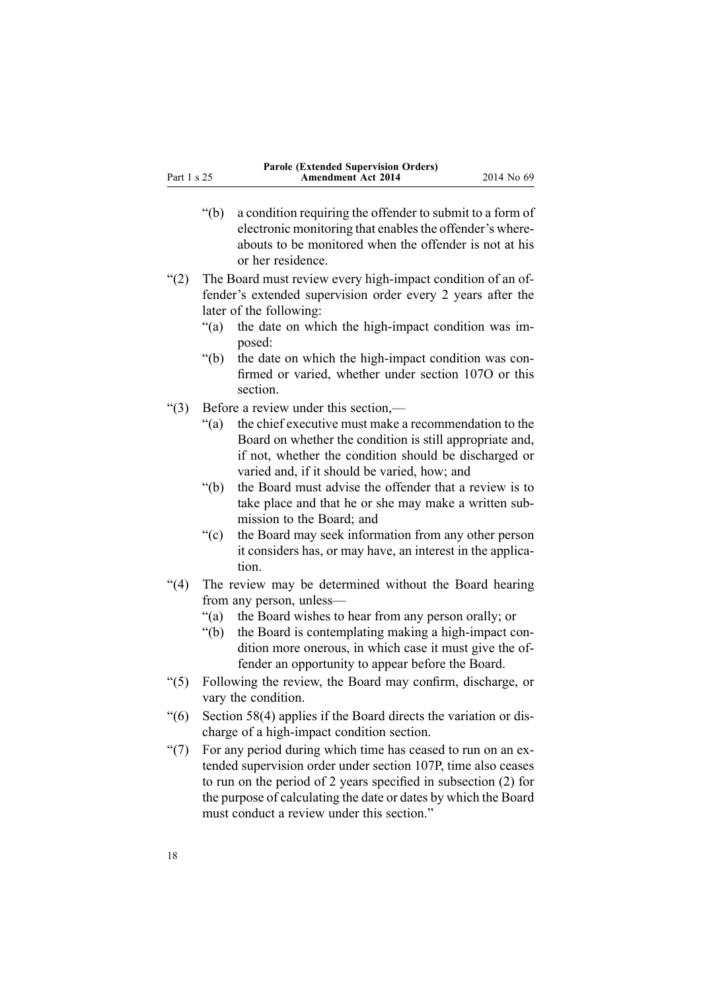- "(b) <sup>a</sup> condition requiring the offender to submit to <sup>a</sup> form of electronic monitoring that enables the offender's whereabouts to be monitored when the offender is not at his or her residence.
- "(2) The Board must review every high-impact condition of an offender's extended supervision order every 2 years after the later of the following:
	- "(a) the date on which the high-impact condition was imposed:
	- "(b) the date on which the high-impact condition was confirmed or varied, whether under section 107O or this section.
- "(3) Before <sup>a</sup> review under this section,—
	- "(a) the chief executive must make <sup>a</sup> recommendation to the Board on whether the condition is still appropriate and, if not, whether the condition should be discharged or varied and, if it should be varied, how; and
	- "(b) the Board must advise the offender that <sup>a</sup> review is to take place and that he or she may make <sup>a</sup> written submission to the Board; and
	- "(c) the Board may seek information from any other person it considers has, or may have, an interest in the application.
- "(4) The review may be determined without the Board hearing from any person, unless—
	- "(a) the Board wishes to hear from any person orally; or
	- "(b) the Board is contemplating making <sup>a</sup> high-impact condition more onerous, in which case it must give the offender an opportunity to appear before the Board.
- "(5) Following the review, the Board may confirm, discharge, or vary the condition.
- "(6) Section 58(4) applies if the Board directs the variation or discharge of <sup>a</sup> high-impact condition section.
- "(7) For any period during which time has ceased to run on an extended supervision order under section 107P, time also ceases to run on the period of 2 years specified in subsection (2) for the purpose of calculating the date or dates by which the Board must conduct <sup>a</sup> review under this section."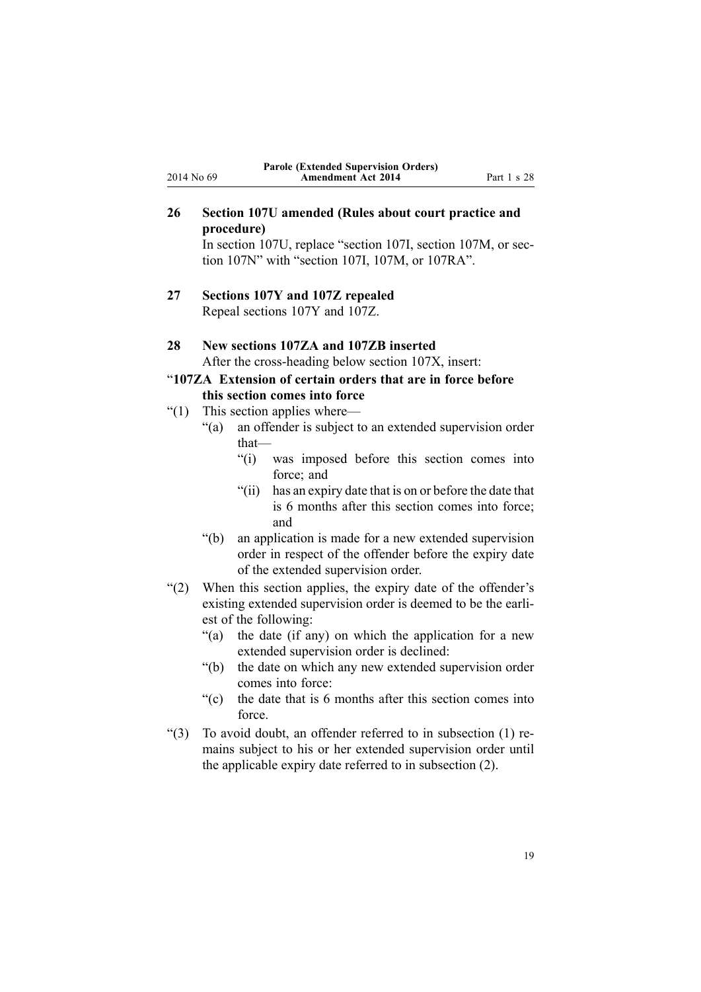### <span id="page-18-0"></span>**26 Section 107U amended (Rules about court practice and procedure)**

In [section](http://www.legislation.govt.nz/pdflink.aspx?id=DLM139664) 107U, replace "section 107I, section 107M, or section 107N" with "section 107I, 107M, or 107RA".

**27 Sections 107Y and 107Z repealed** Repeal [sections](http://www.legislation.govt.nz/pdflink.aspx?id=DLM139674) 107Y and [107Z](http://www.legislation.govt.nz/pdflink.aspx?id=DLM139680).

#### **28 New sections 107ZA and 107ZB inserted**

After the cross-heading below [section](http://www.legislation.govt.nz/pdflink.aspx?id=DLM139670) 107X, insert:

### "**107ZA Extension of certain orders that are in force before this section comes into force**

- "(1) This section applies where—
	- "(a) an offender is subject to an extended supervision order that—
		- "(i) was imposed before this section comes into force; and
		- "(ii) has an expiry date that is on or before the date that is 6 months after this section comes into force; and
	- "(b) an application is made for <sup>a</sup> new extended supervision order in respec<sup>t</sup> of the offender before the expiry date of the extended supervision order.
- "(2) When this section applies, the expiry date of the offender's existing extended supervision order is deemed to be the earliest of the following:
	- "(a) the date (if any) on which the application for <sup>a</sup> new extended supervision order is declined:
	- "(b) the date on which any new extended supervision order comes into force:
	- "(c) the date that is 6 months after this section comes into force.
- "(3) To avoid doubt, an offender referred to in subsection (1) remains subject to his or her extended supervision order until the applicable expiry date referred to in subsection (2).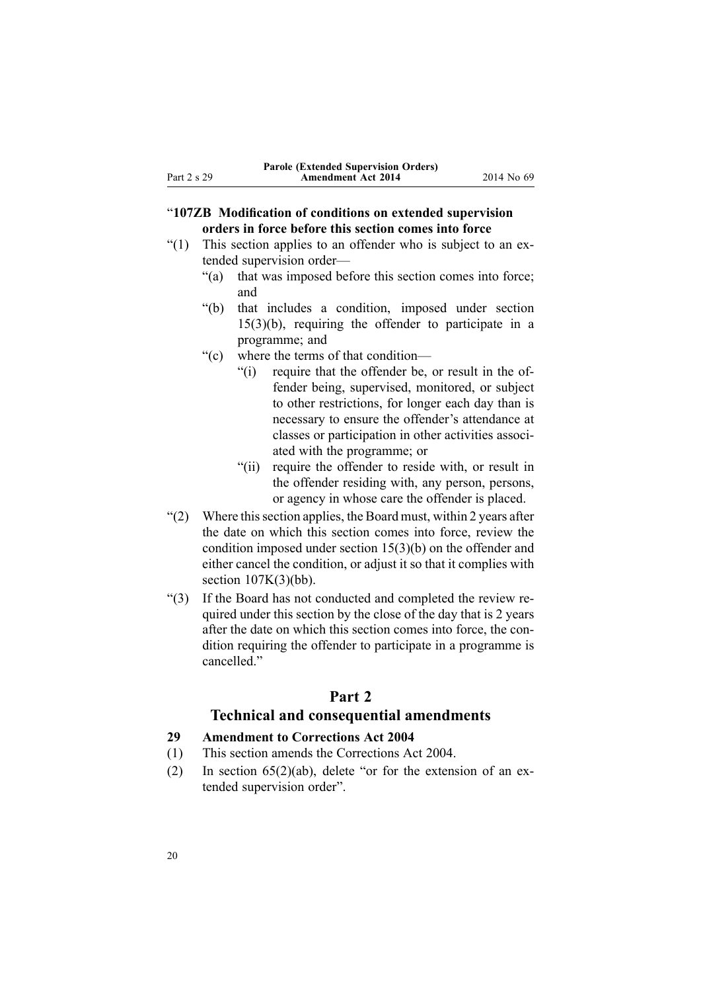### <span id="page-19-0"></span>"**107ZB Modification of conditions on extended supervision orders in force before this section comes into force**

- "(1) This section applies to an offender who is subject to an extended supervision order—
	- "(a) that was imposed before this section comes into force; and
	- "(b) that includes <sup>a</sup> condition, imposed under section 15(3)(b), requiring the offender to participate in <sup>a</sup> programme; and
	- "(c) where the terms of that condition—
		- "(i) require that the offender be, or result in the offender being, supervised, monitored, or subject to other restrictions, for longer each day than is necessary to ensure the offender's attendance at classes or participation in other activities associated with the programme; or
		- "(ii) require the offender to reside with, or result in the offender residing with, any person, persons, or agency in whose care the offender is placed.
- $(2)$  Where this section applies, the Board must, within 2 years after the date on which this section comes into force, review the condition imposed under section 15(3)(b) on the offender and either cancel the condition, or adjust it so that it complies with section  $107K(3)(bb)$ .
- "(3) If the Board has not conducted and completed the review required under this section by the close of the day that is 2 years after the date on which this section comes into force, the condition requiring the offender to participate in <sup>a</sup> programme is cancelled."

### **Part 2**

### **Technical and consequential amendments**

#### **29 Amendment to Corrections Act 2004**

- (1) This section amends the [Corrections](http://www.legislation.govt.nz/pdflink.aspx?id=DLM294848) Act 2004.
- (2) In section  $65(2)(ab)$ , delete "or for the extension of an extended supervision order".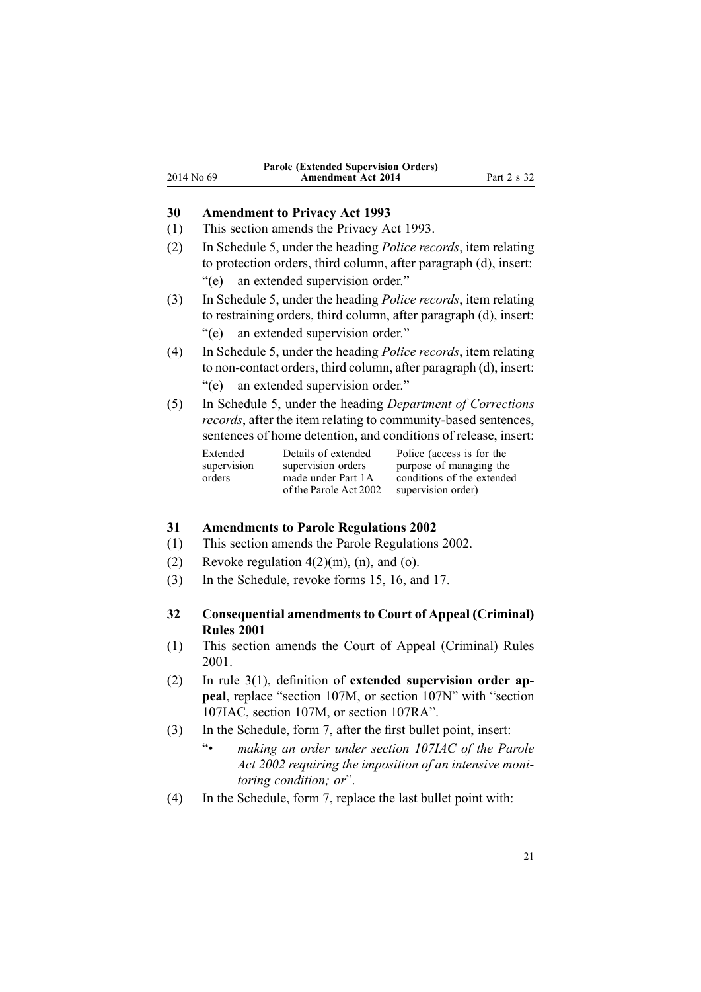### <span id="page-20-0"></span>**30 Amendment to Privacy Act 1993**

- (1) This section amends the [Privacy](http://www.legislation.govt.nz/pdflink.aspx?id=DLM296638) Act 1993.
- (2) In [Schedule](http://www.legislation.govt.nz/pdflink.aspx?id=DLM298798) 5, under the heading *Police records*, item relating to protection orders, third column, after paragraph (d), insert: "(e) an extended supervision order."
- (3) In [Schedule](http://www.legislation.govt.nz/pdflink.aspx?id=DLM298798) 5, under the heading *Police records*, item relating to restraining orders, third column, after paragraph (d), insert: "(e) an extended supervision order."
- (4) In [Schedule](http://www.legislation.govt.nz/pdflink.aspx?id=DLM298798) 5, under the heading *Police records*, item relating to non-contact orders, third column, after paragraph (d), insert: "(e) an extended supervision order."
- (5) In [Schedule](http://www.legislation.govt.nz/pdflink.aspx?id=DLM298798) 5, under the heading *Department of Corrections records*, after the item relating to community-based sentences, sentences of home detention, and conditions of release, insert:

| Extended    | Details of extended    | Police (access is for the  |
|-------------|------------------------|----------------------------|
| supervision | supervision orders     | purpose of managing the    |
| orders      | made under Part 1A     | conditions of the extended |
|             | of the Parole Act 2002 | supervision order)         |

#### **31 Amendments to Parole Regulations 2002**

- (1) This section amends the Parole [Regulations](http://www.legislation.govt.nz/pdflink.aspx?id=DLM132903) 2002.
- (2) Revoke regulation  $4(2)(m)$ ,  $(n)$ , and  $(o)$ .
- (3) In the Schedule, revoke [forms](http://www.legislation.govt.nz/pdflink.aspx?id=DLM132949) 15, [16](http://www.legislation.govt.nz/pdflink.aspx?id=DLM132952), and [17](http://www.legislation.govt.nz/pdflink.aspx?id=DLM132956).

### **32 Consequential amendments to Court of Appeal (Criminal) Rules 2001**

- (1) This section amends the Court of Appeal [\(Criminal\)](http://www.legislation.govt.nz/pdflink.aspx?id=DLM95708) Rules [2001](http://www.legislation.govt.nz/pdflink.aspx?id=DLM95708).
- (2) In rule [3\(1\)](http://www.legislation.govt.nz/pdflink.aspx?id=DLM95715), definition of **extended supervision order appeal**, replace "section 107M, or section 107N" with "section 107IAC, section 107M, or section 107RA".
- (3) In the Schedule, [form](http://www.legislation.govt.nz/pdflink.aspx?id=DLM5456734) 7, after the first bullet point, insert:
	- $\ddot{\bullet}$  *making an order under section 107IAC of the Parole Act 2002 requiring the imposition of an intensive monitoring condition; or*".
- (4) In the Schedule, [form](http://www.legislation.govt.nz/pdflink.aspx?id=DLM5456734) 7, replace the last bullet point with: